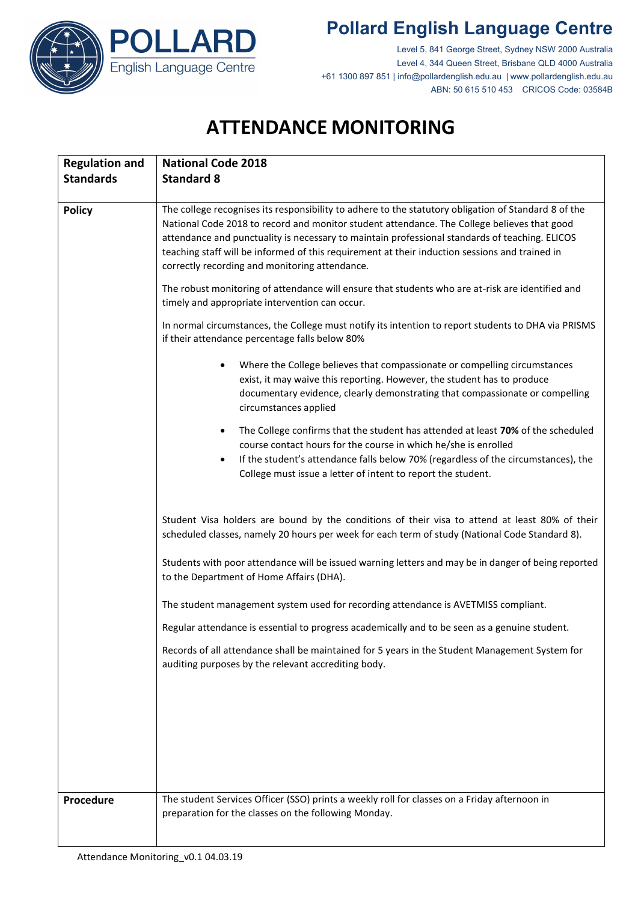

## **Pollard English Language Centre**

Level 5, 841 George Street, Sydney NSW 2000 Australia Level 4, 344 Queen Street, Brisbane QLD 4000 Australia +61 1300 897 851 | info@pollardenglish.edu.au | www.pollardenglish.edu.au ABN: 50 615 510 453 CRICOS Code: 03584B

## **ATTENDANCE MONITORING**

| <b>Regulation and</b> | <b>National Code 2018</b>                                                                                                                                                                                                                                                                                                                                                                                                                                                                                                                                     |
|-----------------------|---------------------------------------------------------------------------------------------------------------------------------------------------------------------------------------------------------------------------------------------------------------------------------------------------------------------------------------------------------------------------------------------------------------------------------------------------------------------------------------------------------------------------------------------------------------|
| <b>Standards</b>      | <b>Standard 8</b>                                                                                                                                                                                                                                                                                                                                                                                                                                                                                                                                             |
|                       |                                                                                                                                                                                                                                                                                                                                                                                                                                                                                                                                                               |
| <b>Policy</b>         | The college recognises its responsibility to adhere to the statutory obligation of Standard 8 of the<br>National Code 2018 to record and monitor student attendance. The College believes that good<br>attendance and punctuality is necessary to maintain professional standards of teaching. ELICOS<br>teaching staff will be informed of this requirement at their induction sessions and trained in<br>correctly recording and monitoring attendance.<br>The robust monitoring of attendance will ensure that students who are at-risk are identified and |
|                       | timely and appropriate intervention can occur.                                                                                                                                                                                                                                                                                                                                                                                                                                                                                                                |
|                       | In normal circumstances, the College must notify its intention to report students to DHA via PRISMS<br>if their attendance percentage falls below 80%                                                                                                                                                                                                                                                                                                                                                                                                         |
|                       | Where the College believes that compassionate or compelling circumstances<br>$\bullet$<br>exist, it may waive this reporting. However, the student has to produce<br>documentary evidence, clearly demonstrating that compassionate or compelling<br>circumstances applied                                                                                                                                                                                                                                                                                    |
|                       | The College confirms that the student has attended at least 70% of the scheduled<br>$\bullet$<br>course contact hours for the course in which he/she is enrolled<br>If the student's attendance falls below 70% (regardless of the circumstances), the<br>$\bullet$<br>College must issue a letter of intent to report the student.                                                                                                                                                                                                                           |
|                       | Student Visa holders are bound by the conditions of their visa to attend at least 80% of their<br>scheduled classes, namely 20 hours per week for each term of study (National Code Standard 8).                                                                                                                                                                                                                                                                                                                                                              |
|                       | Students with poor attendance will be issued warning letters and may be in danger of being reported<br>to the Department of Home Affairs (DHA).                                                                                                                                                                                                                                                                                                                                                                                                               |
|                       | The student management system used for recording attendance is AVETMISS compliant.                                                                                                                                                                                                                                                                                                                                                                                                                                                                            |
|                       | Regular attendance is essential to progress academically and to be seen as a genuine student.                                                                                                                                                                                                                                                                                                                                                                                                                                                                 |
|                       | Records of all attendance shall be maintained for 5 years in the Student Management System for<br>auditing purposes by the relevant accrediting body.                                                                                                                                                                                                                                                                                                                                                                                                         |
|                       |                                                                                                                                                                                                                                                                                                                                                                                                                                                                                                                                                               |
|                       |                                                                                                                                                                                                                                                                                                                                                                                                                                                                                                                                                               |
|                       |                                                                                                                                                                                                                                                                                                                                                                                                                                                                                                                                                               |
| Procedure             | The student Services Officer (SSO) prints a weekly roll for classes on a Friday afternoon in<br>preparation for the classes on the following Monday.                                                                                                                                                                                                                                                                                                                                                                                                          |
|                       |                                                                                                                                                                                                                                                                                                                                                                                                                                                                                                                                                               |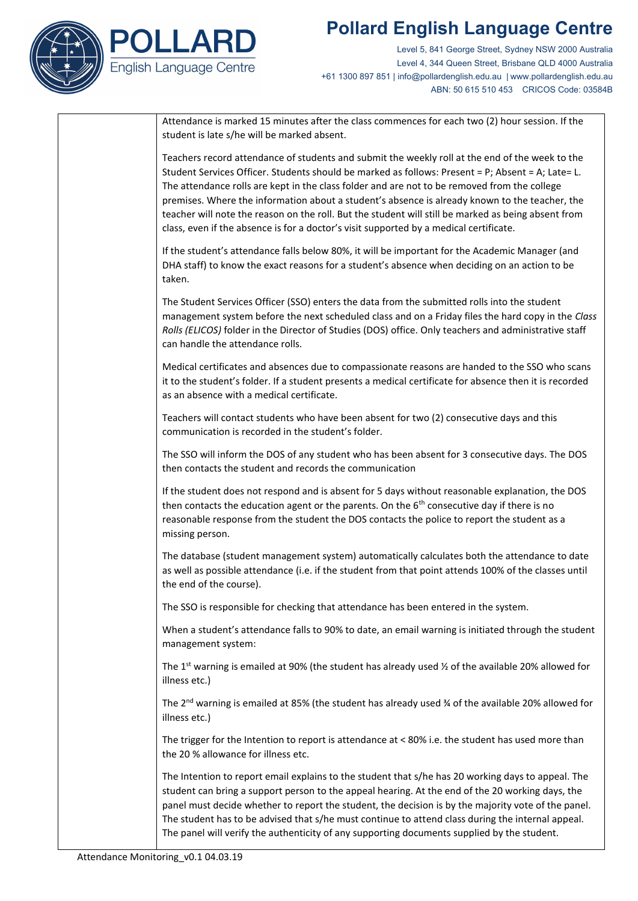## **Pollard English Language Centre**



Level 5, 841 George Street, Sydney NSW 2000 Australia Level 4, 344 Queen Street, Brisbane QLD 4000 Australia +61 1300 897 851 | info@pollardenglish.edu.au | www.pollardenglish.edu.au ABN: 50 615 510 453 CRICOS Code: 03584B

| Attendance is marked 15 minutes after the class commences for each two (2) hour session. If the<br>student is late s/he will be marked absent.                                                                                                                                                                                                                                                                                                                                                                                                                                                          |
|---------------------------------------------------------------------------------------------------------------------------------------------------------------------------------------------------------------------------------------------------------------------------------------------------------------------------------------------------------------------------------------------------------------------------------------------------------------------------------------------------------------------------------------------------------------------------------------------------------|
| Teachers record attendance of students and submit the weekly roll at the end of the week to the<br>Student Services Officer. Students should be marked as follows: Present = P; Absent = A; Late= L.<br>The attendance rolls are kept in the class folder and are not to be removed from the college<br>premises. Where the information about a student's absence is already known to the teacher, the<br>teacher will note the reason on the roll. But the student will still be marked as being absent from<br>class, even if the absence is for a doctor's visit supported by a medical certificate. |
| If the student's attendance falls below 80%, it will be important for the Academic Manager (and<br>DHA staff) to know the exact reasons for a student's absence when deciding on an action to be<br>taken.                                                                                                                                                                                                                                                                                                                                                                                              |
| The Student Services Officer (SSO) enters the data from the submitted rolls into the student<br>management system before the next scheduled class and on a Friday files the hard copy in the Class<br>Rolls (ELICOS) folder in the Director of Studies (DOS) office. Only teachers and administrative staff<br>can handle the attendance rolls.                                                                                                                                                                                                                                                         |
| Medical certificates and absences due to compassionate reasons are handed to the SSO who scans<br>it to the student's folder. If a student presents a medical certificate for absence then it is recorded<br>as an absence with a medical certificate.                                                                                                                                                                                                                                                                                                                                                  |
| Teachers will contact students who have been absent for two (2) consecutive days and this<br>communication is recorded in the student's folder.                                                                                                                                                                                                                                                                                                                                                                                                                                                         |
| The SSO will inform the DOS of any student who has been absent for 3 consecutive days. The DOS<br>then contacts the student and records the communication                                                                                                                                                                                                                                                                                                                                                                                                                                               |
| If the student does not respond and is absent for 5 days without reasonable explanation, the DOS<br>then contacts the education agent or the parents. On the $6th$ consecutive day if there is no<br>reasonable response from the student the DOS contacts the police to report the student as a<br>missing person.                                                                                                                                                                                                                                                                                     |
| The database (student management system) automatically calculates both the attendance to date<br>as well as possible attendance (i.e. if the student from that point attends 100% of the classes until<br>the end of the course).                                                                                                                                                                                                                                                                                                                                                                       |
| The SSO is responsible for checking that attendance has been entered in the system.                                                                                                                                                                                                                                                                                                                                                                                                                                                                                                                     |
| When a student's attendance falls to 90% to date, an email warning is initiated through the student                                                                                                                                                                                                                                                                                                                                                                                                                                                                                                     |

The 1<sup>st</sup> warning is emailed at 90% (the student has already used  $\frac{1}{2}$  of the available 20% allowed for illness etc.)

The 2<sup>nd</sup> warning is emailed at 85% (the student has already used  $\frac{3}{4}$  of the available 20% allowed for illness etc.)

The trigger for the Intention to report is attendance at < 80% i.e. the student has used more than the 20 % allowance for illness etc.

The Intention to report email explains to the student that s/he has 20 working days to appeal. The student can bring a support person to the appeal hearing. At the end of the 20 working days, the panel must decide whether to report the student, the decision is by the majority vote of the panel. The student has to be advised that s/he must continue to attend class during the internal appeal. The panel will verify the authenticity of any supporting documents supplied by the student.

management system: